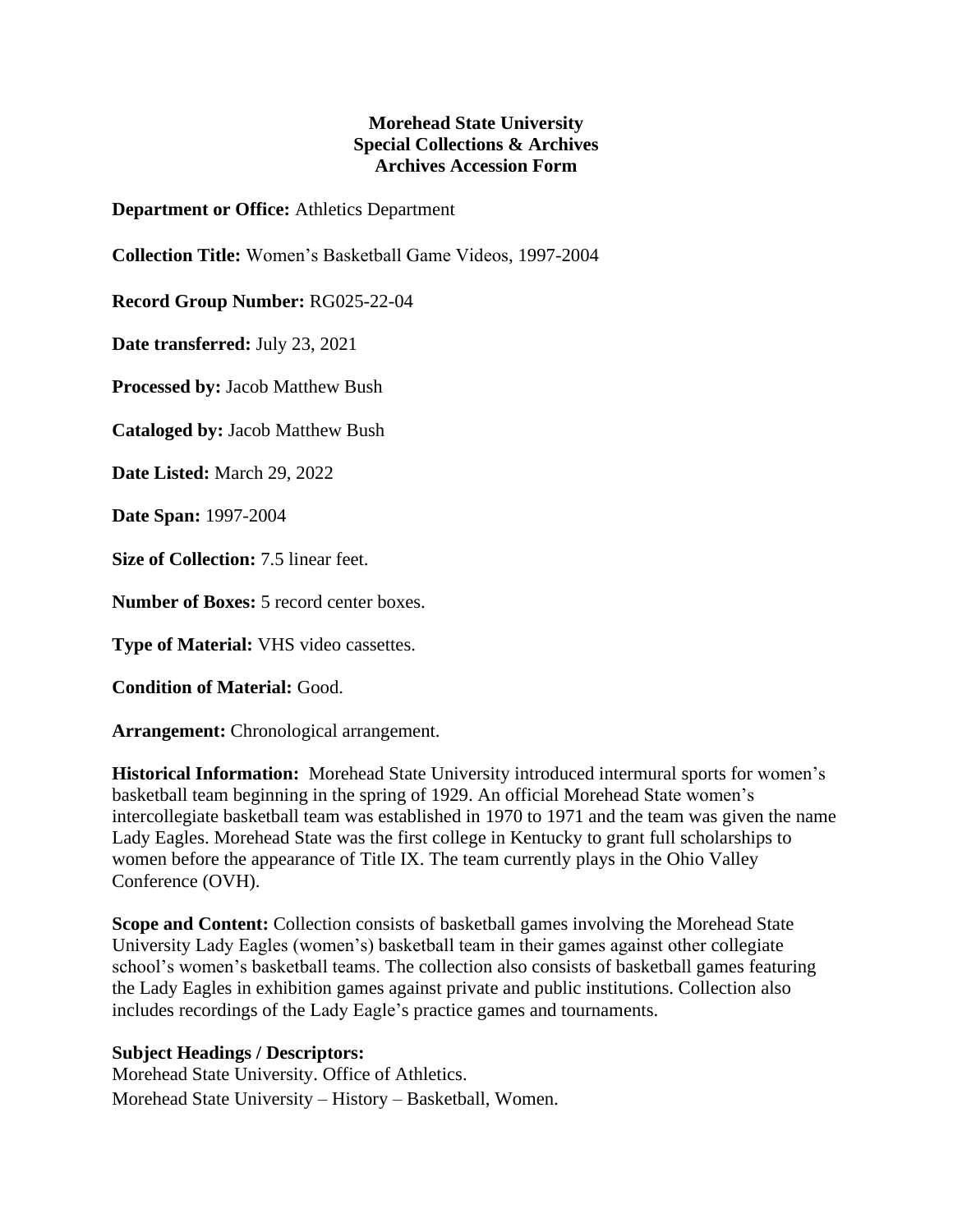## **Morehead State University Special Collections & Archives Archives Accession Form**

**Department or Office:** Athletics Department

**Collection Title:** Women's Basketball Game Videos, 1997-2004

**Record Group Number:** RG025-22-04

**Date transferred:** July 23, 2021

**Processed by:** Jacob Matthew Bush

**Cataloged by:** Jacob Matthew Bush

**Date Listed:** March 29, 2022

**Date Span:** 1997-2004

**Size of Collection:** 7.5 linear feet.

**Number of Boxes:** 5 record center boxes.

**Type of Material:** VHS video cassettes.

**Condition of Material:** Good.

**Arrangement:** Chronological arrangement.

**Historical Information:** Morehead State University introduced intermural sports for women's basketball team beginning in the spring of 1929. An official Morehead State women's intercollegiate basketball team was established in 1970 to 1971 and the team was given the name Lady Eagles. Morehead State was the first college in Kentucky to grant full scholarships to women before the appearance of Title IX. The team currently plays in the Ohio Valley Conference (OVH).

**Scope and Content:** Collection consists of basketball games involving the Morehead State University Lady Eagles (women's) basketball team in their games against other collegiate school's women's basketball teams. The collection also consists of basketball games featuring the Lady Eagles in exhibition games against private and public institutions. Collection also includes recordings of the Lady Eagle's practice games and tournaments.

## **Subject Headings / Descriptors:**

Morehead State University. Office of Athletics. Morehead State University – History – Basketball, Women.